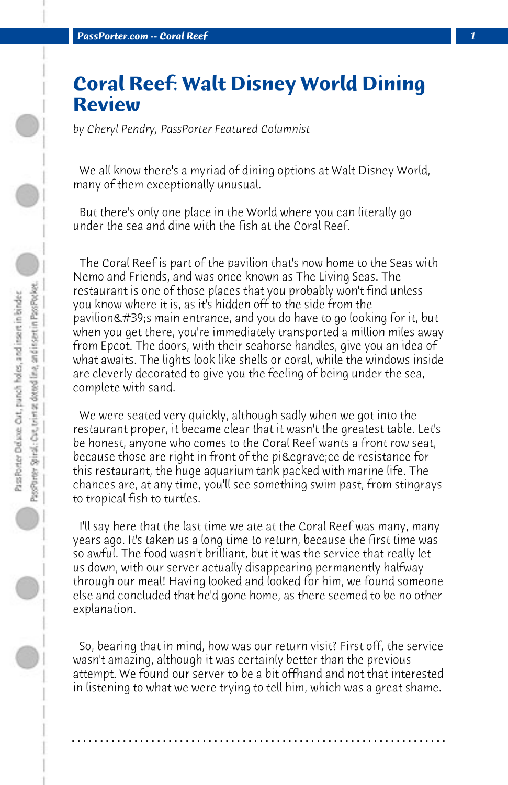## **Coral Reef: Walt Disney World Dining Review**

*by Cheryl Pendry, PassPorter Featured Columnist*

 We all know there's a myriad of dining options at Walt Disney World, many of them exceptionally unusual.

 But there's only one place in the World where you can literally go under the sea and dine with the fish at the Coral Reef.

 The Coral Reef is part of the pavilion that's now home to the Seas with Nemo and Friends, and was once known as The Living Seas. The restaurant is one of those places that you probably won't find unless you know where it is, as it's hidden off to the side from the pavilion's main entrance, and you do have to go looking for it, but when you get there, you're immediately transported a million miles away from Epcot. The doors, with their seahorse handles, give you an idea of what awaits. The lights look like shells or coral, while the windows inside are cleverly decorated to give you the feeling of being under the sea, complete with sand.

 We were seated very quickly, although sadly when we got into the restaurant proper, it became clear that it wasn't the greatest table. Let's be honest, anyone who comes to the Coral Reef wants a front row seat, because those are right in front of the pièce de resistance for this restaurant, the huge aquarium tank packed with marine life. The chances are, at any time, you'll see something swim past, from stingrays to tropical fish to turtles.

 I'll say here that the last time we ate at the Coral Reef was many, many years ago. It's taken us a long time to return, because the first time was so awful. The food wasn't brilliant, but it was the service that really let us down, with our server actually disappearing permanently halfway through our meal! Having looked and looked for him, we found someone else and concluded that he'd gone home, as there seemed to be no other explanation.

 So, bearing that in mind, how was our return visit? First off, the service wasn't amazing, although it was certainly better than the previous attempt. We found our server to be a bit offhand and not that interested in listening to what we were trying to tell him, which was a great shame.

**. . . . . . . . . . . . . . . . . . . . . . . . . . . . . . . . . . . . . . . . . . . . . . . . . . . . . . . . . . . . . . . . . .**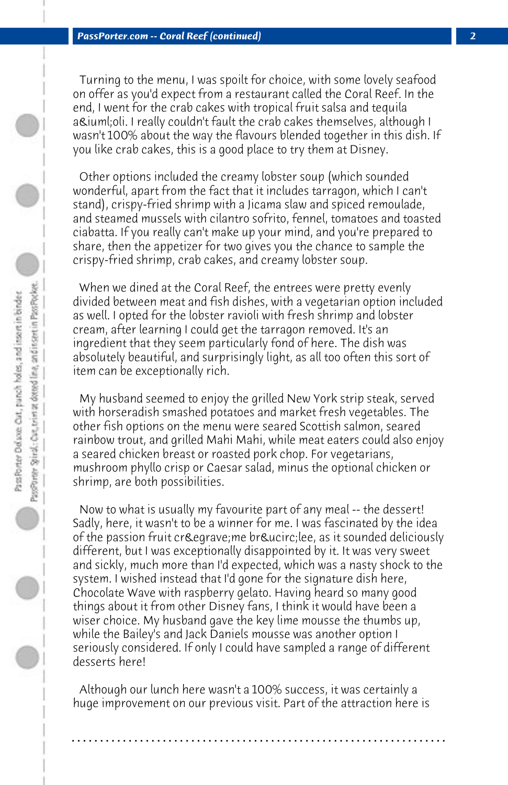Turning to the menu, I was spoilt for choice, with some lovely seafood on offer as you'd expect from a restaurant called the Coral Reef. In the end, I went for the crab cakes with tropical fruit salsa and tequila aïoli. I really couldn't fault the crab cakes themselves, although I wasn't 100% about the way the flavours blended together in this dish. If you like crab cakes, this is a good place to try them at Disney.

 Other options included the creamy lobster soup (which sounded wonderful, apart from the fact that it includes tarragon, which I can't stand), crispy-fried shrimp with a Jicama slaw and spiced remoulade, and steamed mussels with cilantro sofrito, fennel, tomatoes and toasted ciabatta. If you really can't make up your mind, and you're prepared to share, then the appetizer for two gives you the chance to sample the crispy-fried shrimp, crab cakes, and creamy lobster soup.

 When we dined at the Coral Reef, the entrees were pretty evenly divided between meat and fish dishes, with a vegetarian option included as well. I opted for the lobster ravioli with fresh shrimp and lobster cream, after learning I could get the tarragon removed. It's an ingredient that they seem particularly fond of here. The dish was absolutely beautiful, and surprisingly light, as all too often this sort of item can be exceptionally rich.

 My husband seemed to enjoy the grilled New York strip steak, served with horseradish smashed potatoes and market fresh vegetables. The other fish options on the menu were seared Scottish salmon, seared rainbow trout, and grilled Mahi Mahi, while meat eaters could also enjoy a seared chicken breast or roasted pork chop. For vegetarians, mushroom phyllo crisp or Caesar salad, minus the optional chicken or shrimp, are both possibilities.

 Now to what is usually my favourite part of any meal -- the dessert! Sadly, here, it wasn't to be a winner for me. I was fascinated by the idea of the passion fruit crè me brû lee, as it sounded deliciously different, but I was exceptionally disappointed by it. It was very sweet and sickly, much more than I'd expected, which was a nasty shock to the system. I wished instead that I'd gone for the signature dish here, Chocolate Wave with raspberry gelato. Having heard so many good things about it from other Disney fans, I think it would have been a wiser choice. My husband gave the key lime mousse the thumbs up, while the Bailey's and Jack Daniels mousse was another option I seriously considered. If only I could have sampled a range of different desserts here!

 Although our lunch here wasn't a 100% success, it was certainly a huge improvement on our previous visit. Part of the attraction here is

**. . . . . . . . . . . . . . . . . . . . . . . . . . . . . . . . . . . . . . . . . . . . . . . . . . . . . . . . . . . . . . . . . .**